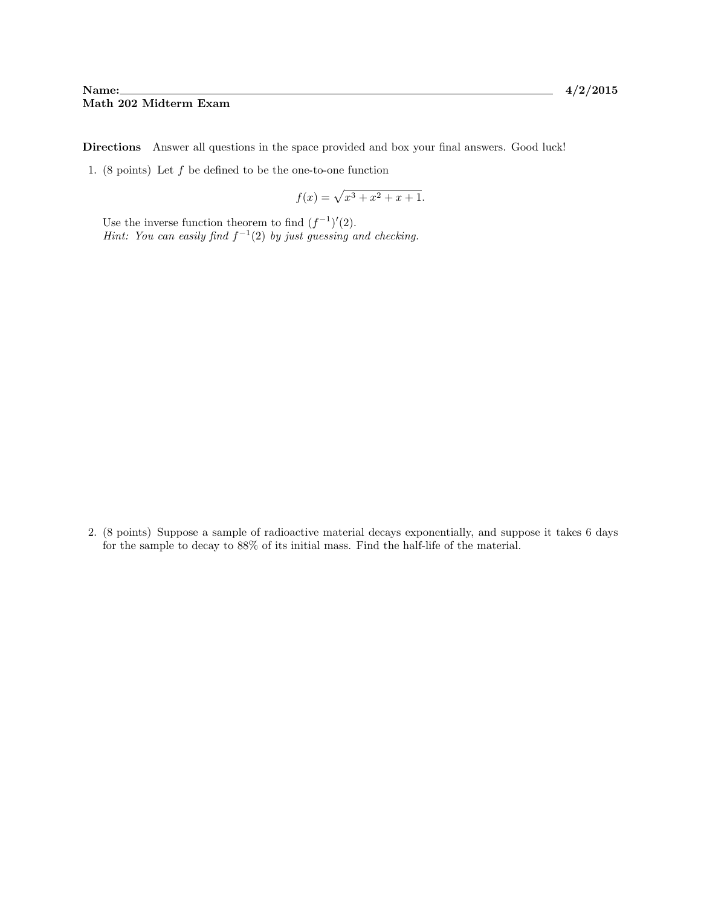## Name: 4/2/2015 Math 202 Midterm Exam

Directions Answer all questions in the space provided and box your final answers. Good luck!

1. (8 points) Let  $f$  be defined to be the one-to-one function

$$
f(x) = \sqrt{x^3 + x^2 + x + 1}.
$$

Use the inverse function theorem to find  $(f^{-1})'(2)$ . Hint: You can easily find  $f^{-1}(2)$  by just guessing and checking.

2. (8 points) Suppose a sample of radioactive material decays exponentially, and suppose it takes 6 days for the sample to decay to 88% of its initial mass. Find the half-life of the material.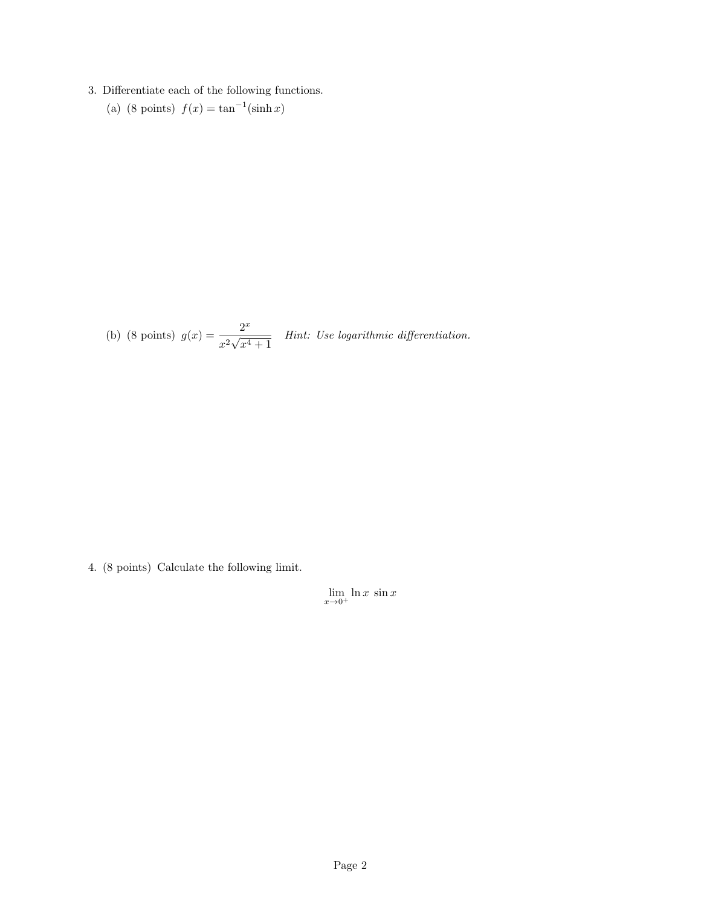## 3. Differentiate each of the following functions.

(a) (8 points)  $f(x) = \tan^{-1}(\sinh x)$ 

(b) (8 points)  $g(x) = \frac{2^x}{x^2}$  $\frac{x^2}{\sqrt{x^2}}$  $\frac{2}{x^4+1}$  Hint: Use logarithmic differentiation.

4. (8 points) Calculate the following limit.

 $\lim_{x\to 0^+} \ln x \sin x$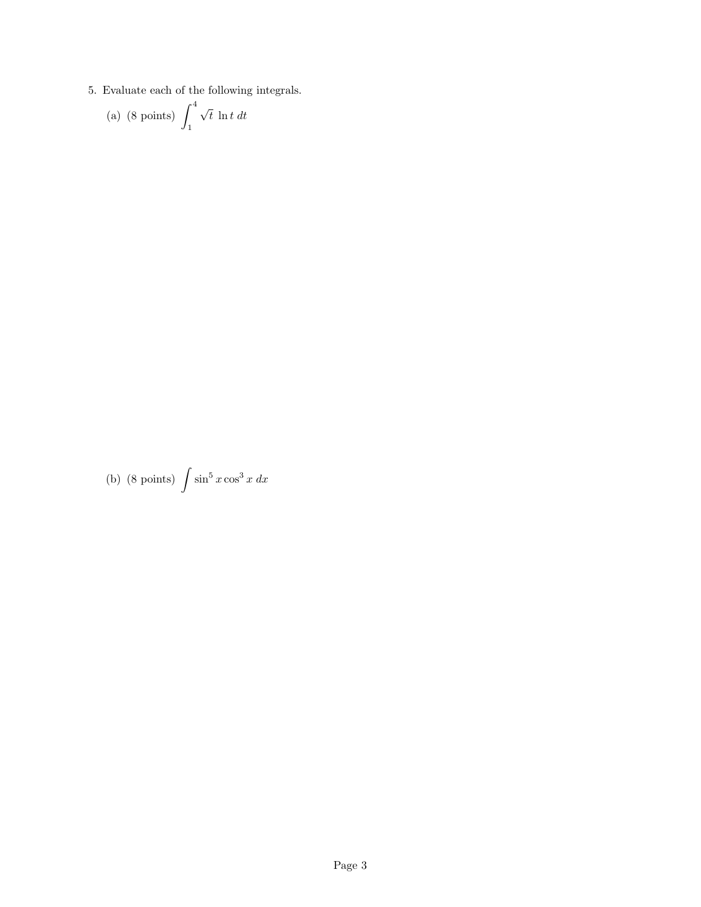5. Evaluate each of the following integrals.

(a) (8 points) 
$$
\int_1^4 \sqrt{t} \ln t \, dt
$$

(b) (8 points)  $\int \sin^5 x \cos^3 x dx$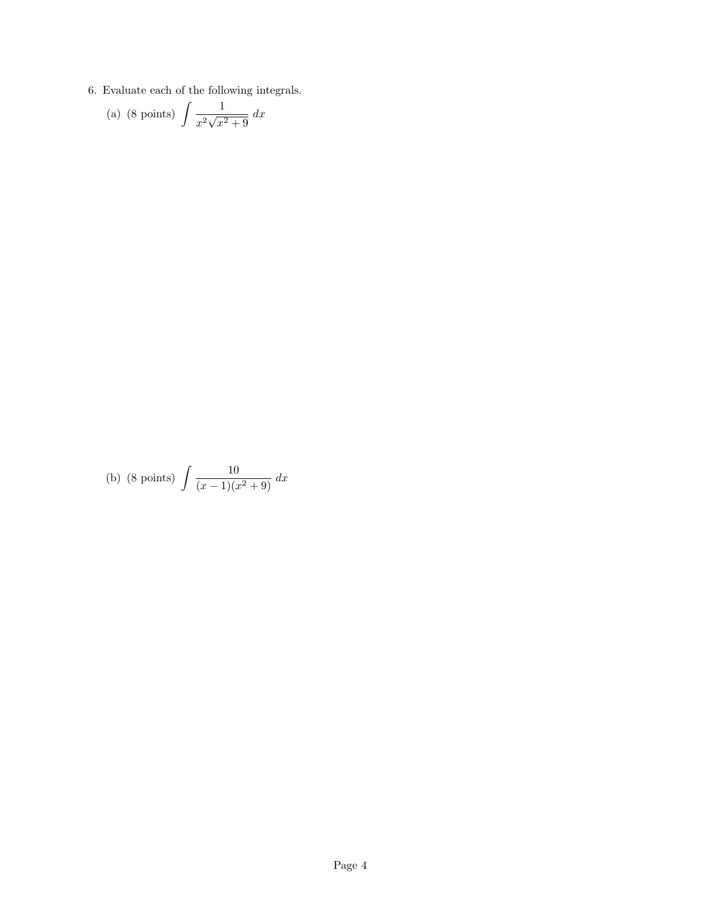6. Evaluate each of the following integrals.

(a) (8 points) 
$$
\int \frac{1}{x^2 \sqrt{x^2 + 9}} dx
$$

(b) (8 points) 
$$
\int \frac{10}{(x-1)(x^2+9)} dx
$$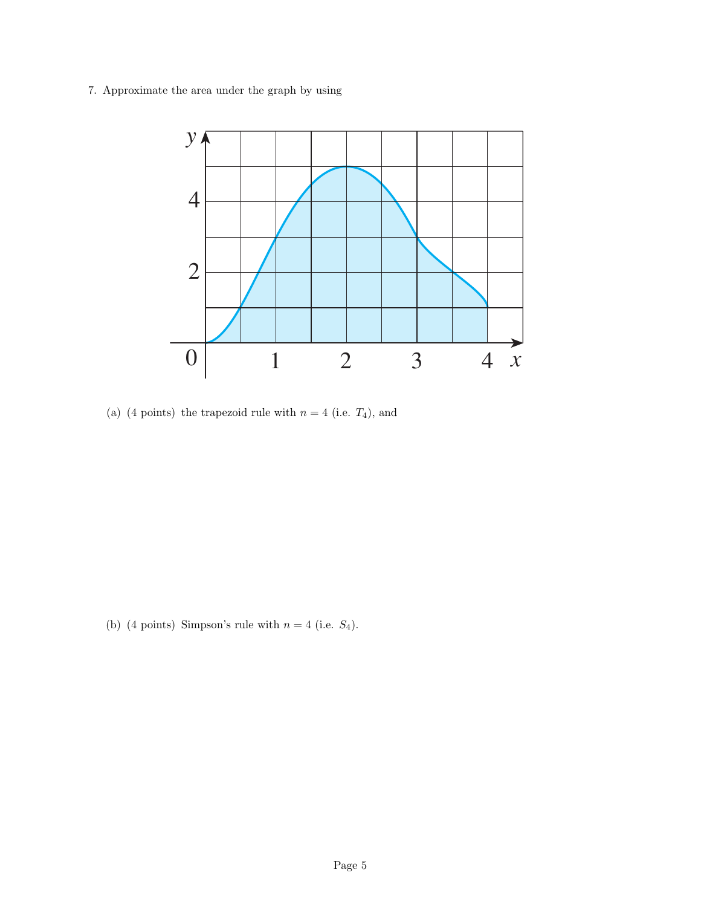7. Approximate the area under the graph by using



(a) (4 points) the trapezoid rule with  $n = 4$  (i.e.  $T_4$ ), and

(b) (4 points) Simpson's rule with  $n = 4$  (i.e.  $S_4$ ).